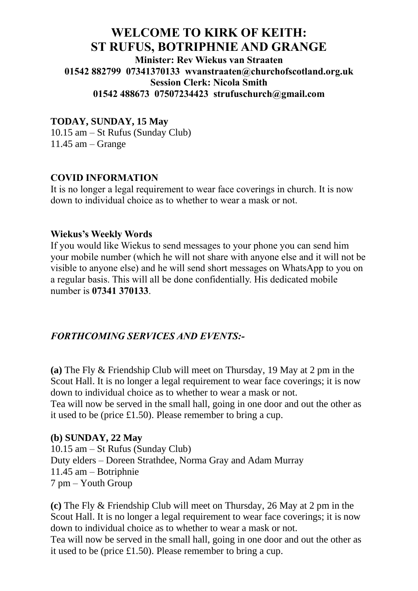# **WELCOME TO KIRK OF KEITH: ST RUFUS, BOTRIPHNIE AND GRANGE**

**Minister: Rev Wiekus van Straaten 01542 882799 07341370133 [wvanstraaten@churchofscotland.org.uk](mailto:wvanstraaten@churchofscotland.org.uk) Session Clerk: Nicola Smith 01542 488673 07507234423 strufuschurch@gmail.com**

## **TODAY, SUNDAY, 15 May**

10.15 am – St Rufus (Sunday Club) 11.45 am – Grange

#### **COVID INFORMATION**

It is no longer a legal requirement to wear face coverings in church. It is now down to individual choice as to whether to wear a mask or not.

#### **Wiekus's Weekly Words**

If you would like Wiekus to send messages to your phone you can send him your mobile number (which he will not share with anyone else and it will not be visible to anyone else) and he will send short messages on WhatsApp to you on a regular basis. This will all be done confidentially. His dedicated mobile number is **07341 370133**.

#### *FORTHCOMING SERVICES AND EVENTS:-*

**(a)** The Fly & Friendship Club will meet on Thursday, 19 May at 2 pm in the Scout Hall. It is no longer a legal requirement to wear face coverings; it is now down to individual choice as to whether to wear a mask or not. Tea will now be served in the small hall, going in one door and out the other as it used to be (price £1.50). Please remember to bring a cup.

#### **(b) SUNDAY, 22 May**

10.15 am – St Rufus (Sunday Club) Duty elders – Doreen Strathdee, Norma Gray and Adam Murray 11.45 am – Botriphnie 7 pm – Youth Group

**(c)** The Fly & Friendship Club will meet on Thursday, 26 May at 2 pm in the Scout Hall. It is no longer a legal requirement to wear face coverings; it is now down to individual choice as to whether to wear a mask or not. Tea will now be served in the small hall, going in one door and out the other as it used to be (price £1.50). Please remember to bring a cup.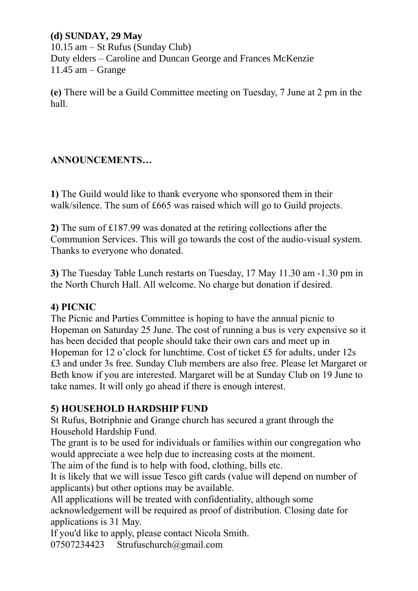## **(d) SUNDAY, 29 May**

10.15 am – St Rufus (Sunday Club) Duty elders – Caroline and Duncan George and Frances McKenzie 11.45 am – Grange

**(e)** There will be a Guild Committee meeting on Tuesday, 7 June at 2 pm in the hall.

## **ANNOUNCEMENTS…**

**1)** The Guild would like to thank everyone who sponsored them in their walk/silence. The sum of £665 was raised which will go to Guild projects.

**2)** The sum of £187.99 was donated at the retiring collections after the Communion Services. This will go towards the cost of the audio-visual system. Thanks to everyone who donated.

**3)** The Tuesday Table Lunch restarts on Tuesday, 17 May 11.30 am -1.30 pm in the North Church Hall. All welcome. No charge but donation if desired.

#### **4) PICNIC**

The Picnic and Parties Committee is hoping to have the annual picnic to Hopeman on Saturday 25 June. The cost of running a bus is very expensive so it has been decided that people should take their own cars and meet up in Hopeman for 12 o'clock for lunchtime. Cost of ticket £5 for adults, under 12s £3 and under 3s free. Sunday Club members are also free. Please let Margaret or Beth know if you are interested. Margaret will be at Sunday Club on 19 June to take names. It will only go ahead if there is enough interest.

## **5) HOUSEHOLD HARDSHIP FUND**

St Rufus, Botriphnie and Grange church has secured a grant through the Household Hardship Fund.

The grant is to be used for individuals or families within our congregation who would appreciate a wee help due to increasing costs at the moment.

The aim of the fund is to help with food, clothing, bills etc.

It is likely that we will issue Tesco gift cards (value will depend on number of applicants) but other options may be available.

All applications will be treated with confidentiality, although some acknowledgement will be required as proof of distribution. Closing date for applications is 31 May.

If you'd like to apply, please contact Nicola Smith.

07507234423 [Strufuschurch@gmail.com](mailto:Strufuschurch@gmail.com)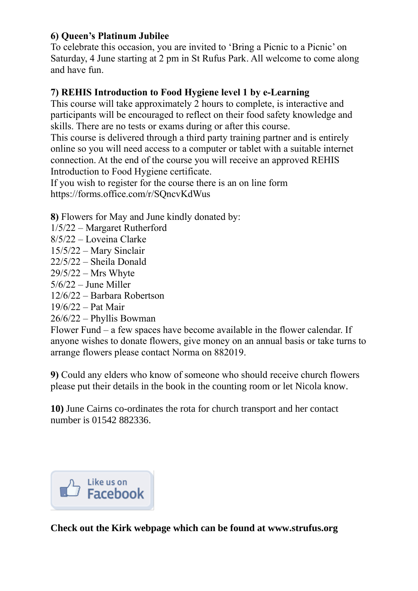# **6) Queen's Platinum Jubilee**

To celebrate this occasion, you are invited to 'Bring a Picnic to a Picnic' on Saturday, 4 June starting at 2 pm in St Rufus Park. All welcome to come along and have fun.

## **7) REHIS Introduction to Food Hygiene level 1 by e-Learning**

This course will take approximately 2 hours to complete, is interactive and participants will be encouraged to reflect on their food safety knowledge and skills. There are no tests or exams during or after this course.

This course is delivered through a third party training partner and is entirely online so you will need access to a computer or tablet with a suitable internet connection. At the end of the course you will receive an approved REHIS Introduction to Food Hygiene certificate.

If you wish to register for the course there is an on line form <https://forms.office.com/r/SQncvKdWus>

**8)** Flowers for May and June kindly donated by:

- 1/5/22 Margaret Rutherford
- 8/5/22 Loveina Clarke
- 15/5/22 Mary Sinclair
- 22/5/22 Sheila Donald
- 29/5/22 Mrs Whyte
- 5/6/22 June Miller
- 12/6/22 Barbara Robertson
- 19/6/22 Pat Mair
- 26/6/22 Phyllis Bowman

Flower Fund – a few spaces have become available in the flower calendar. If anyone wishes to donate flowers, give money on an annual basis or take turns to arrange flowers please contact Norma on 882019.

**9)** Could any elders who know of someone who should receive church flowers please put their details in the book in the counting room or let Nicola know.

**10)** June Cairns co-ordinates the rota for church transport and her contact number is 01542 882336.

Like us on<br>Je**Facebook** 

**Check out the Kirk webpage which can be found at [www.strufus.org](http://www.strufus.org/)**